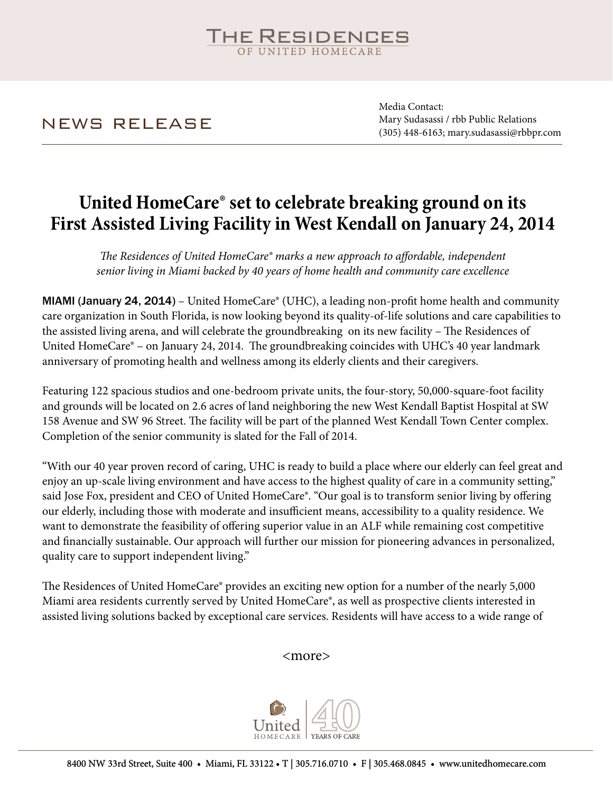# **HE RESIDENCES**

NEWS RELEASE

Media Contact: Mary Sudasassi / rbb Public Relations (305) 448-6163; mary.sudasassi@rbbpr.com

### **United HomeCare® set to celebrate breaking ground on its First Assisted Living Facility in West Kendall on January 24, 2014**

*The Residences of United HomeCare® marks a new approach to affordable, independent senior living in Miami backed by 40 years of home health and community care excellence*

MIAMI (January 24, 2014) – United HomeCare® (UHC), a leading non-profit home health and community care organization in South Florida, is now looking beyond its quality-of-life solutions and care capabilities to the assisted living arena, and will celebrate the groundbreaking on its new facility – The Residences of United HomeCare® – on January 24, 2014. The groundbreaking coincides with UHC's 40 year landmark anniversary of promoting health and wellness among its elderly clients and their caregivers.

Featuring 122 spacious studios and one-bedroom private units, the four-story, 50,000-square-foot facility and grounds will be located on 2.6 acres of land neighboring the new West Kendall Baptist Hospital at SW 158 Avenue and SW 96 Street. The facility will be part of the planned West Kendall Town Center complex. Completion of the senior community is slated for the Fall of 2014.

"With our 40 year proven record of caring, UHC is ready to build a place where our elderly can feel great and enjoy an up-scale living environment and have access to the highest quality of care in a community setting," said Jose Fox, president and CEO of United HomeCare®. "Our goal is to transform senior living by offering our elderly, including those with moderate and insufficient means, accessibility to a quality residence. We want to demonstrate the feasibility of offering superior value in an ALF while remaining cost competitive and financially sustainable. Our approach will further our mission for pioneering advances in personalized, quality care to support independent living."

The Residences of United HomeCare® provides an exciting new option for a number of the nearly 5,000 Miami area residents currently served by United HomeCare®, as well as prospective clients interested in assisted living solutions backed by exceptional care services. Residents will have access to a wide range of